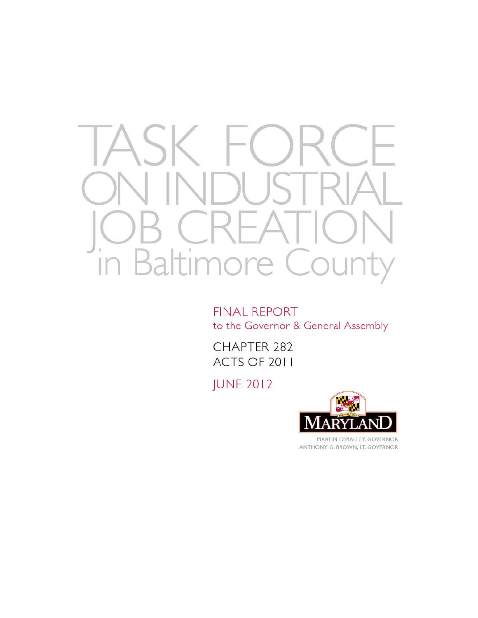

**FINAL REPORT** to the Governor & General Assembly

CHAPTER 282 ACTS OF 2011

**JUNE 2012** 



ANTHONY G. BROWN, LT. GOVERNOR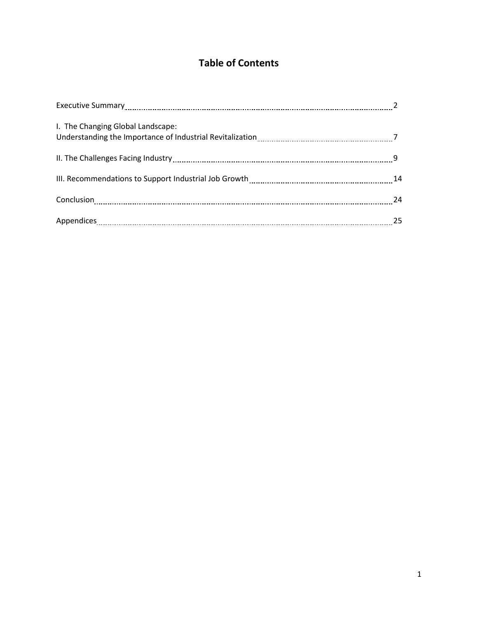# **Table of Contents**

| Executive Summary [11] Marshall Summary [12] Marshall Summary [12] Marshall Summary [12] Marshall Summary [12] |     |
|----------------------------------------------------------------------------------------------------------------|-----|
| I. The Changing Global Landscape:                                                                              |     |
|                                                                                                                |     |
|                                                                                                                |     |
|                                                                                                                | -24 |
|                                                                                                                | 25  |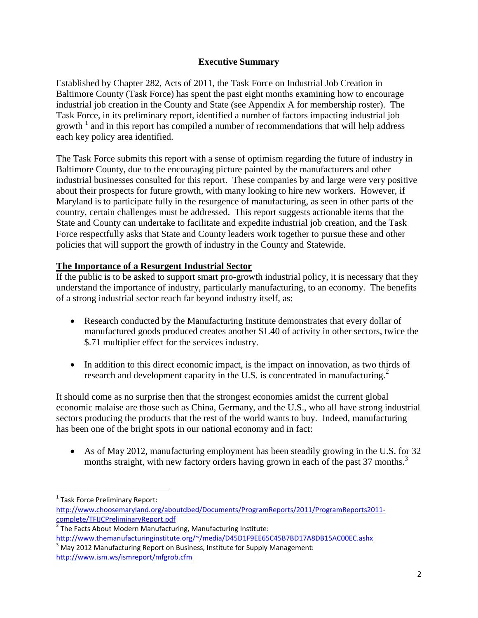### **Executive Summary**

Established by Chapter 282, Acts of 2011, the Task Force on Industrial Job Creation in Baltimore County (Task Force) has spent the past eight months examining how to encourage industrial job creation in the County and State (see Appendix A for membership roster). The Task Force, in its preliminary report, identified a number of factors impacting industrial job growth  $\frac{1}{2}$  and in this report has compiled a number of recommendations that will help address each key policy area identified.

The Task Force submits this report with a sense of optimism regarding the future of industry in Baltimore County, due to the encouraging picture painted by the manufacturers and other industrial businesses consulted for this report. These companies by and large were very positive about their prospects for future growth, with many looking to hire new workers. However, if Maryland is to participate fully in the resurgence of manufacturing, as seen in other parts of the country, certain challenges must be addressed. This report suggests actionable items that the State and County can undertake to facilitate and expedite industrial job creation, and the Task Force respectfully asks that State and County leaders work together to pursue these and other policies that will support the growth of industry in the County and Statewide.

### **The Importance of a Resurgent Industrial Sector**

If the public is to be asked to support smart pro-growth industrial policy, it is necessary that they understand the importance of industry, particularly manufacturing, to an economy. The benefits of a strong industrial sector reach far beyond industry itself, as:

- Research conducted by the Manufacturing Institute demonstrates that every dollar of manufactured goods produced creates another \$1.40 of activity in other sectors, twice the \$.71 multiplier effect for the services industry.
- In addition to this direct economic impact, is the impact on innovation, as two thirds of research and development capacity in the U.S. is concentrated in manufacturing.<sup>2</sup>

It should come as no surprise then that the strongest economies amidst the current global economic malaise are those such as China, Germany, and the U.S., who all have strong industrial sectors producing the products that the rest of the world wants to buy. Indeed, manufacturing has been one of the bright spots in our national economy and in fact:

 As of May 2012, manufacturing employment has been steadily growing in the U.S. for 32 months straight, with new factory orders having grown in each of the past 37 months.<sup>3</sup>

 1 Task Force Preliminary Report:

[http://www.choosemaryland.org/aboutdbed/Documents/ProgramReports/2011/ProgramReports2011](http://www.choosemaryland.org/aboutdbed/Documents/ProgramReports/2011/ProgramReports2011-complete/TFIJCPreliminaryReport.pdf) [complete/TFIJCPreliminaryReport.pdf](http://www.choosemaryland.org/aboutdbed/Documents/ProgramReports/2011/ProgramReports2011-complete/TFIJCPreliminaryReport.pdf)

<sup>&</sup>lt;sup>2</sup> The Facts About Modern Manufacturing, Manufacturing Institute: <http://www.themanufacturinginstitute.org/~/media/D45D1F9EE65C45B7BD17A8DB15AC00EC.ashx>

 $\frac{3}{3}$  May 2012 Manufacturing Report on Business, Institute for Supply Management: <http://www.ism.ws/ismreport/mfgrob.cfm>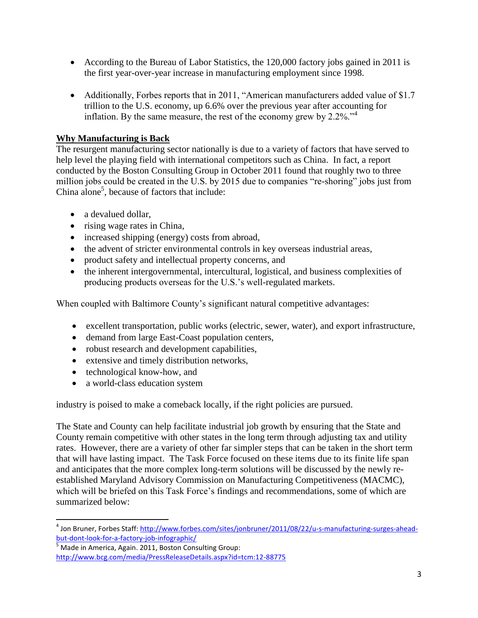- According to the Bureau of Labor Statistics, the 120,000 factory jobs gained in 2011 is the first year-over-year increase in manufacturing employment since 1998.
- Additionally, Forbes reports that in 2011, "American manufacturers added value of \$1.7 trillion to the U.S. economy, up 6.6% over the previous year after accounting for inflation. By the same measure, the rest of the economy grew by  $2.2\%$ .<sup>"4</sup>

# **Why Manufacturing is Back**

The resurgent manufacturing sector nationally is due to a variety of factors that have served to help level the playing field with international competitors such as China. In fact, a report conducted by the Boston Consulting Group in October 2011 found that roughly two to three million jobs could be created in the U.S. by 2015 due to companies "re-shoring" jobs just from China alone<sup>5</sup>, because of factors that include:

- a devalued dollar,
- rising wage rates in China,
- increased shipping (energy) costs from abroad,
- the advent of stricter environmental controls in key overseas industrial areas,
- product safety and intellectual property concerns, and
- the inherent intergovernmental, intercultural, logistical, and business complexities of producing products overseas for the U.S."s well-regulated markets.

When coupled with Baltimore County's significant natural competitive advantages:

- excellent transportation, public works (electric, sewer, water), and export infrastructure,
- demand from large East-Coast population centers,
- robust research and development capabilities,
- extensive and timely distribution networks,
- technological know-how, and

 $\overline{a}$ 

• a world-class education system

industry is poised to make a comeback locally, if the right policies are pursued.

The State and County can help facilitate industrial job growth by ensuring that the State and County remain competitive with other states in the long term through adjusting tax and utility rates. However, there are a variety of other far simpler steps that can be taken in the short term that will have lasting impact. The Task Force focused on these items due to its finite life span and anticipates that the more complex long-term solutions will be discussed by the newly reestablished Maryland Advisory Commission on Manufacturing Competitiveness (MACMC), which will be briefed on this Task Force's findings and recommendations, some of which are summarized below:

<sup>&</sup>lt;sup>4</sup> Jon Bruner, Forbes Staff: <u>http://www.forbes.com/sites/jonbruner/2011/08/22/u-s-manufacturing-surges-ahead-</u> [but-dont-look-for-a-factory-job-infographic/](http://www.forbes.com/sites/jonbruner/2011/08/22/u-s-manufacturing-surges-ahead-but-dont-look-for-a-factory-job-infographic/)

 $\frac{5}{3}$  Made in America, Again. 2011, Boston Consulting Group: <http://www.bcg.com/media/PressReleaseDetails.aspx?id=tcm:12-88775>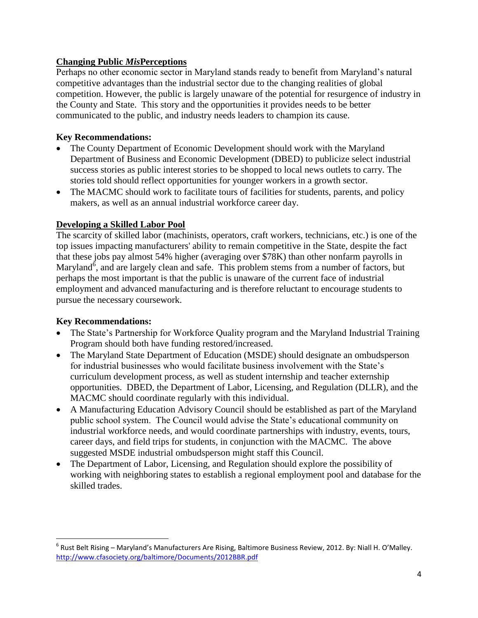### **Changing Public** *Mis***Perceptions**

Perhaps no other economic sector in Maryland stands ready to benefit from Maryland"s natural competitive advantages than the industrial sector due to the changing realities of global competition. However, the public is largely unaware of the potential for resurgence of industry in the County and State. This story and the opportunities it provides needs to be better communicated to the public, and industry needs leaders to champion its cause.

### **Key Recommendations:**

- The County Department of Economic Development should work with the Maryland Department of Business and Economic Development (DBED) to publicize select industrial success stories as public interest stories to be shopped to local news outlets to carry. The stories told should reflect opportunities for younger workers in a growth sector.
- The MACMC should work to facilitate tours of facilities for students, parents, and policy makers, as well as an annual industrial workforce career day.

### **Developing a Skilled Labor Pool**

The scarcity of skilled labor (machinists, operators, craft workers, technicians, etc.) is one of the top issues impacting manufacturers' ability to remain competitive in the State, despite the fact that these jobs pay almost 54% higher (averaging over \$78K) than other nonfarm payrolls in Maryland<sup> $\delta$ </sup>, and are largely clean and safe. This problem stems from a number of factors, but perhaps the most important is that the public is unaware of the current face of industrial employment and advanced manufacturing and is therefore reluctant to encourage students to pursue the necessary coursework.

### **Key Recommendations:**

l

- The State's Partnership for Workforce Quality program and the Maryland Industrial Training Program should both have funding restored/increased.
- The Maryland State Department of Education (MSDE) should designate an ombudsperson for industrial businesses who would facilitate business involvement with the State"s curriculum development process, as well as student internship and teacher externship opportunities. DBED, the Department of Labor, Licensing, and Regulation (DLLR), and the MACMC should coordinate regularly with this individual.
- A Manufacturing Education Advisory Council should be established as part of the Maryland public school system. The Council would advise the State"s educational community on industrial workforce needs, and would coordinate partnerships with industry, events, tours, career days, and field trips for students, in conjunction with the MACMC. The above suggested MSDE industrial ombudsperson might staff this Council.
- The Department of Labor, Licensing, and Regulation should explore the possibility of working with neighboring states to establish a regional employment pool and database for the skilled trades.

<sup>6</sup> Rust Belt Rising – Maryland's Manufacturers Are Rising, Baltimore Business Review, 2012. By: Niall H. O'Malley. <http://www.cfasociety.org/baltimore/Documents/2012BBR.pdf>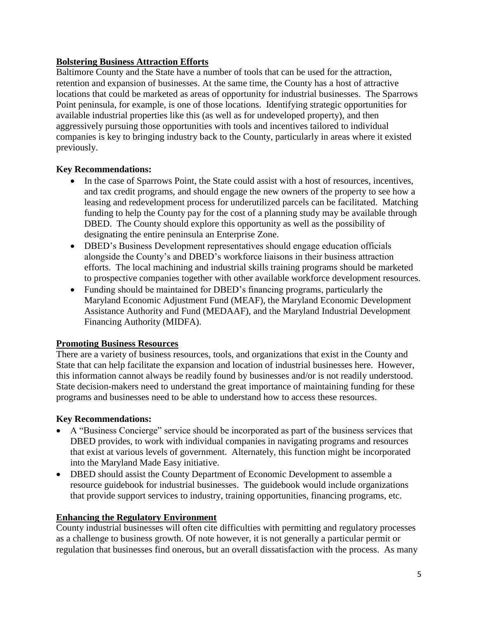### **Bolstering Business Attraction Efforts**

Baltimore County and the State have a number of tools that can be used for the attraction, retention and expansion of businesses. At the same time, the County has a host of attractive locations that could be marketed as areas of opportunity for industrial businesses. The Sparrows Point peninsula, for example, is one of those locations. Identifying strategic opportunities for available industrial properties like this (as well as for undeveloped property), and then aggressively pursuing those opportunities with tools and incentives tailored to individual companies is key to bringing industry back to the County, particularly in areas where it existed previously.

### **Key Recommendations:**

- In the case of Sparrows Point, the State could assist with a host of resources, incentives, and tax credit programs, and should engage the new owners of the property to see how a leasing and redevelopment process for underutilized parcels can be facilitated. Matching funding to help the County pay for the cost of a planning study may be available through DBED. The County should explore this opportunity as well as the possibility of designating the entire peninsula an Enterprise Zone.
- DBED"s Business Development representatives should engage education officials alongside the County"s and DBED"s workforce liaisons in their business attraction efforts. The local machining and industrial skills training programs should be marketed to prospective companies together with other available workforce development resources.
- Funding should be maintained for DBED"s financing programs, particularly the Maryland Economic Adjustment Fund (MEAF), the Maryland Economic Development Assistance Authority and Fund (MEDAAF), and the Maryland Industrial Development Financing Authority (MIDFA).

### **Promoting Business Resources**

There are a variety of business resources, tools, and organizations that exist in the County and State that can help facilitate the expansion and location of industrial businesses here. However, this information cannot always be readily found by businesses and/or is not readily understood. State decision-makers need to understand the great importance of maintaining funding for these programs and businesses need to be able to understand how to access these resources.

### **Key Recommendations:**

- A "Business Concierge" service should be incorporated as part of the business services that DBED provides, to work with individual companies in navigating programs and resources that exist at various levels of government. Alternately, this function might be incorporated into the Maryland Made Easy initiative.
- DBED should assist the County Department of Economic Development to assemble a resource guidebook for industrial businesses. The guidebook would include organizations that provide support services to industry, training opportunities, financing programs, etc.

### **Enhancing the Regulatory Environment**

County industrial businesses will often cite difficulties with permitting and regulatory processes as a challenge to business growth. Of note however, it is not generally a particular permit or regulation that businesses find onerous, but an overall dissatisfaction with the process. As many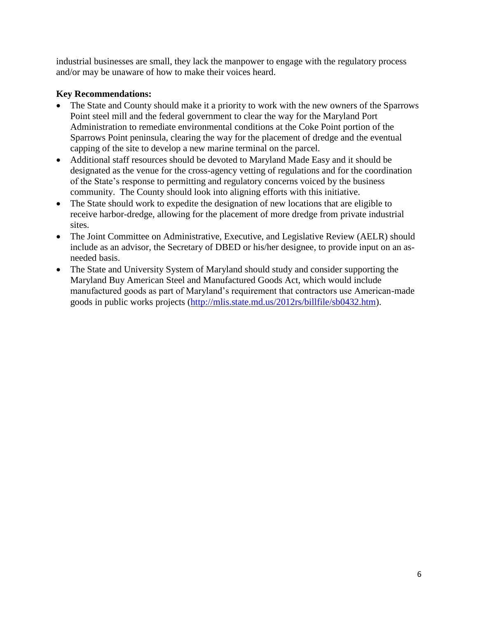industrial businesses are small, they lack the manpower to engage with the regulatory process and/or may be unaware of how to make their voices heard.

### **Key Recommendations:**

- The State and County should make it a priority to work with the new owners of the Sparrows Point steel mill and the federal government to clear the way for the Maryland Port Administration to remediate environmental conditions at the Coke Point portion of the Sparrows Point peninsula, clearing the way for the placement of dredge and the eventual capping of the site to develop a new marine terminal on the parcel.
- Additional staff resources should be devoted to Maryland Made Easy and it should be designated as the venue for the cross-agency vetting of regulations and for the coordination of the State"s response to permitting and regulatory concerns voiced by the business community. The County should look into aligning efforts with this initiative.
- The State should work to expedite the designation of new locations that are eligible to receive harbor-dredge, allowing for the placement of more dredge from private industrial sites.
- The Joint Committee on Administrative, Executive, and Legislative Review (AELR) should include as an advisor, the Secretary of DBED or his/her designee, to provide input on an asneeded basis.
- The State and University System of Maryland should study and consider supporting the Maryland Buy American Steel and Manufactured Goods Act, which would include manufactured goods as part of Maryland"s requirement that contractors use American-made goods in public works projects [\(http://mlis.state.md.us/2012rs/billfile/sb0432.htm\)](http://mlis.state.md.us/2012rs/billfile/sb0432.htm).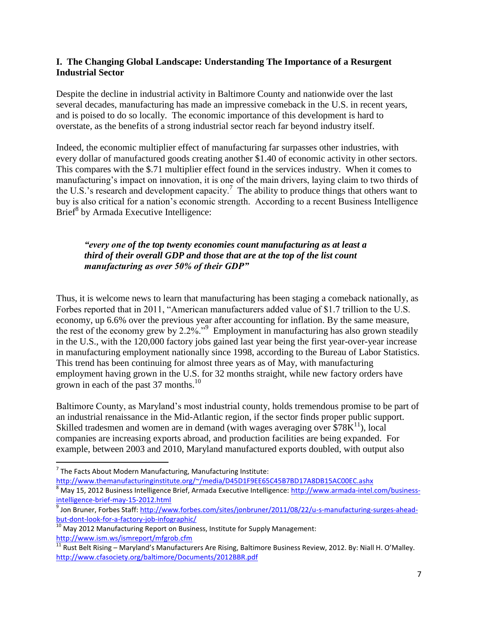#### **I. The Changing Global Landscape: Understanding The Importance of a Resurgent Industrial Sector**

Despite the decline in industrial activity in Baltimore County and nationwide over the last several decades, manufacturing has made an impressive comeback in the U.S. in recent years, and is poised to do so locally. The economic importance of this development is hard to overstate, as the benefits of a strong industrial sector reach far beyond industry itself.

Indeed, the economic multiplier effect of manufacturing far surpasses other industries, with every dollar of manufactured goods creating another \$1.40 of economic activity in other sectors. This compares with the \$.71 multiplier effect found in the services industry. When it comes to manufacturing's impact on innovation, it is one of the main drivers, laying claim to two thirds of the U.S.'s research and development capacity.<sup>7</sup> The ability to produce things that others want to buy is also critical for a nation"s economic strength. According to a recent Business Intelligence Brief<sup>8</sup> by Armada Executive Intelligence:

#### *"every one of the top twenty economies count manufacturing as at least a third of their overall GDP and those that are at the top of the list count manufacturing as over 50% of their GDP"*

Thus, it is welcome news to learn that manufacturing has been staging a comeback nationally, as Forbes reported that in 2011, "American manufacturers added value of \$1.7 trillion to the U.S. economy, up 6.6% over the previous year after accounting for inflation. By the same measure, the rest of the economy grew by 2.2%."<sup>9</sup> Employment in manufacturing has also grown steadily in the U.S., with the 120,000 factory jobs gained last year being the first year-over-year increase in manufacturing employment nationally since 1998, according to the Bureau of Labor Statistics. This trend has been continuing for almost three years as of May, with manufacturing employment having grown in the U.S. for 32 months straight, while new factory orders have grown in each of the past 37 months.<sup>10</sup>

Baltimore County, as Maryland"s most industrial county, holds tremendous promise to be part of an industrial renaissance in the Mid-Atlantic region, if the sector finds proper public support. Skilled tradesmen and women are in demand (with wages averaging over  $$78K<sup>11</sup>$ ), local companies are increasing exports abroad, and production facilities are being expanded. For example, between 2003 and 2010, Maryland manufactured exports doubled, with output also

 $\overline{\phantom{a}}$ 

<http://www.themanufacturinginstitute.org/~/media/D45D1F9EE65C45B7BD17A8DB15AC00EC.ashx>

 $<sup>7</sup>$  The Facts About Modern Manufacturing, Manufacturing Institute:</sup>

<sup>8&</sup>lt;br>May 15, 2012 Business Intelligence Brief, Armada Executive Intelligence: [http://www.armada-intel.com/business](http://www.armada-intel.com/business-intelligence-brief-may-15-2012.html)[intelligence-brief-may-15-2012.html](http://www.armada-intel.com/business-intelligence-brief-may-15-2012.html)

<sup>&</sup>lt;sup>9</sup> Jon Bruner, Forbes Staff: <u>http://www.forbes.com/sites/jonbruner/2011/08/22/u-s-manufacturing-surges-ahead-</u> [but-dont-look-for-a-factory-job-infographic/](http://www.forbes.com/sites/jonbruner/2011/08/22/u-s-manufacturing-surges-ahead-but-dont-look-for-a-factory-job-infographic/)

<sup>&</sup>lt;sup>10</sup> May 2012 Manufacturing Report on Business, Institute for Supply Management: <http://www.ism.ws/ismreport/mfgrob.cfm>

 $\frac{11}{11}$  Rust Belt Rising – Maryland's Manufacturers Are Rising, Baltimore Business Review, 2012. By: Niall H. O'Malley. <http://www.cfasociety.org/baltimore/Documents/2012BBR.pdf>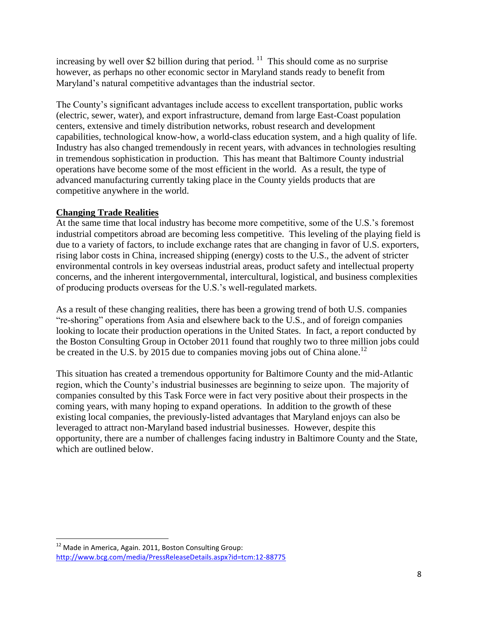increasing by well over \$2 billion during that period.  $11$  This should come as no surprise however, as perhaps no other economic sector in Maryland stands ready to benefit from Maryland"s natural competitive advantages than the industrial sector.

The County"s significant advantages include access to excellent transportation, public works (electric, sewer, water), and export infrastructure, demand from large East-Coast population centers, extensive and timely distribution networks, robust research and development capabilities, technological know-how, a world-class education system, and a high quality of life. Industry has also changed tremendously in recent years, with advances in technologies resulting in tremendous sophistication in production. This has meant that Baltimore County industrial operations have become some of the most efficient in the world. As a result, the type of advanced manufacturing currently taking place in the County yields products that are competitive anywhere in the world.

### **Changing Trade Realities**

At the same time that local industry has become more competitive, some of the U.S."s foremost industrial competitors abroad are becoming less competitive. This leveling of the playing field is due to a variety of factors, to include exchange rates that are changing in favor of U.S. exporters, rising labor costs in China, increased shipping (energy) costs to the U.S., the advent of stricter environmental controls in key overseas industrial areas, product safety and intellectual property concerns, and the inherent intergovernmental, intercultural, logistical, and business complexities of producing products overseas for the U.S."s well-regulated markets.

As a result of these changing realities, there has been a growing trend of both U.S. companies "re-shoring" operations from Asia and elsewhere back to the U.S., and of foreign companies looking to locate their production operations in the United States. In fact, a report conducted by the Boston Consulting Group in October 2011 found that roughly two to three million jobs could be created in the U.S. by 2015 due to companies moving jobs out of China alone.<sup>12</sup>

This situation has created a tremendous opportunity for Baltimore County and the mid-Atlantic region, which the County"s industrial businesses are beginning to seize upon. The majority of companies consulted by this Task Force were in fact very positive about their prospects in the coming years, with many hoping to expand operations. In addition to the growth of these existing local companies, the previously-listed advantages that Maryland enjoys can also be leveraged to attract non-Maryland based industrial businesses. However, despite this opportunity, there are a number of challenges facing industry in Baltimore County and the State, which are outlined below.

l  $^{12}$  Made in America, Again. 2011, Boston Consulting Group: <http://www.bcg.com/media/PressReleaseDetails.aspx?id=tcm:12-88775>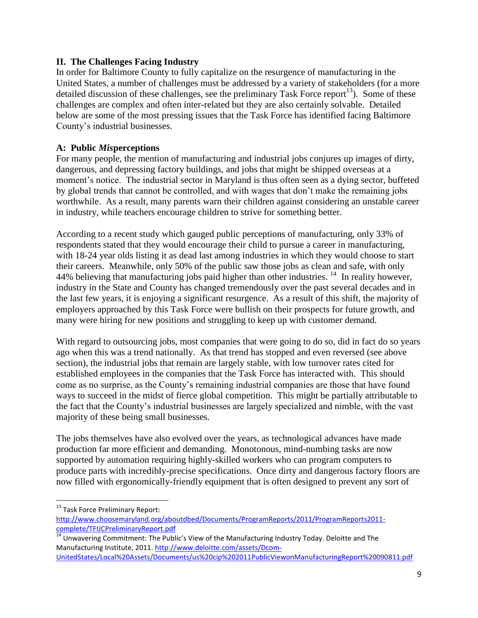#### **II. The Challenges Facing Industry**

In order for Baltimore County to fully capitalize on the resurgence of manufacturing in the United States, a number of challenges must be addressed by a variety of stakeholders (for a more detailed discussion of these challenges, see the preliminary Task Force report<sup>13</sup>). Some of these challenges are complex and often inter-related but they are also certainly solvable. Detailed below are some of the most pressing issues that the Task Force has identified facing Baltimore County"s industrial businesses.

#### **A: Public** *Mis***perceptions**

For many people, the mention of manufacturing and industrial jobs conjures up images of dirty, dangerous, and depressing factory buildings, and jobs that might be shipped overseas at a moment's notice. The industrial sector in Maryland is thus often seen as a dying sector, buffeted by global trends that cannot be controlled, and with wages that don"t make the remaining jobs worthwhile. As a result, many parents warn their children against considering an unstable career in industry, while teachers encourage children to strive for something better.

According to a recent study which gauged public perceptions of manufacturing, only 33% of respondents stated that they would encourage their child to pursue a career in manufacturing, with 18-24 year olds listing it as dead last among industries in which they would choose to start their careers. Meanwhile, only 50% of the public saw those jobs as clean and safe, with only 44% believing that manufacturing jobs paid higher than other industries.<sup>14</sup> In reality however, industry in the State and County has changed tremendously over the past several decades and in the last few years, it is enjoying a significant resurgence. As a result of this shift, the majority of employers approached by this Task Force were bullish on their prospects for future growth, and many were hiring for new positions and struggling to keep up with customer demand.

With regard to outsourcing jobs, most companies that were going to do so, did in fact do so years ago when this was a trend nationally. As that trend has stopped and even reversed (see above section), the industrial jobs that remain are largely stable, with low turnover rates cited for established employees in the companies that the Task Force has interacted with. This should come as no surprise, as the County"s remaining industrial companies are those that have found ways to succeed in the midst of fierce global competition. This might be partially attributable to the fact that the County"s industrial businesses are largely specialized and nimble, with the vast majority of these being small businesses.

The jobs themselves have also evolved over the years, as technological advances have made production far more efficient and demanding. Monotonous, mind-numbing tasks are now supported by automation requiring highly-skilled workers who can program computers to produce parts with incredibly-precise specifications. Once dirty and dangerous factory floors are now filled with ergonomically-friendly equipment that is often designed to prevent any sort of

 $\overline{a}$ 

<sup>&</sup>lt;sup>13</sup> Task Force Preliminary Report:

[http://www.choosemaryland.org/aboutdbed/Documents/ProgramReports/2011/ProgramReports2011](http://www.choosemaryland.org/aboutdbed/Documents/ProgramReports/2011/ProgramReports2011-complete/TFIJCPreliminaryReport.pdf) [complete/TFIJCPreliminaryReport.pdf](http://www.choosemaryland.org/aboutdbed/Documents/ProgramReports/2011/ProgramReports2011-complete/TFIJCPreliminaryReport.pdf)

<sup>&</sup>lt;sup>14</sup> Unwavering Commitment: The Public's View of the Manufacturing Industry Today. Deloitte and The Manufacturing Institute, 2011[. http://www.deloitte.com/assets/Dcom-](http://www.deloitte.com/assets/Dcom-UnitedStates/Local%20Assets/Documents/us%20cip%202011PublicViewonManufacturingReport%20090811.pdf)

[UnitedStates/Local%20Assets/Documents/us%20cip%202011PublicViewonManufacturingReport%20090811.pdf](http://www.deloitte.com/assets/Dcom-UnitedStates/Local%20Assets/Documents/us%20cip%202011PublicViewonManufacturingReport%20090811.pdf)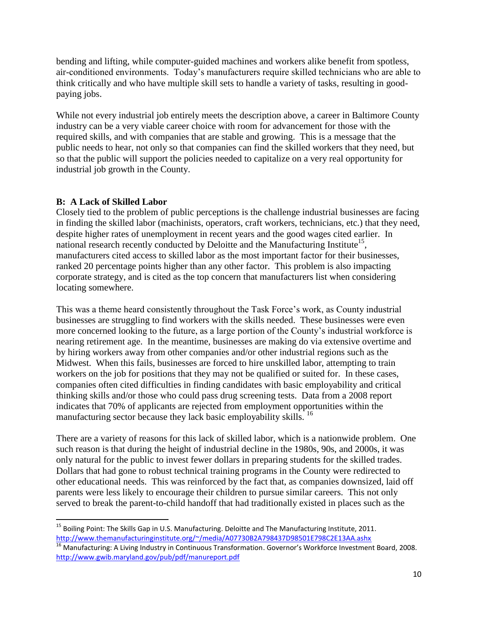bending and lifting, while computer-guided machines and workers alike benefit from spotless, air-conditioned environments. Today"s manufacturers require skilled technicians who are able to think critically and who have multiple skill sets to handle a variety of tasks, resulting in goodpaying jobs.

While not every industrial job entirely meets the description above, a career in Baltimore County industry can be a very viable career choice with room for advancement for those with the required skills, and with companies that are stable and growing. This is a message that the public needs to hear, not only so that companies can find the skilled workers that they need, but so that the public will support the policies needed to capitalize on a very real opportunity for industrial job growth in the County.

### **B: A Lack of Skilled Labor**

 $\overline{a}$ 

Closely tied to the problem of public perceptions is the challenge industrial businesses are facing in finding the skilled labor (machinists, operators, craft workers, technicians, etc.) that they need, despite higher rates of unemployment in recent years and the good wages cited earlier. In national research recently conducted by Deloitte and the Manufacturing Institute<sup>15</sup>, manufacturers cited access to skilled labor as the most important factor for their businesses, ranked 20 percentage points higher than any other factor. This problem is also impacting corporate strategy, and is cited as the top concern that manufacturers list when considering locating somewhere.

This was a theme heard consistently throughout the Task Force's work, as County industrial businesses are struggling to find workers with the skills needed. These businesses were even more concerned looking to the future, as a large portion of the County"s industrial workforce is nearing retirement age. In the meantime, businesses are making do via extensive overtime and by hiring workers away from other companies and/or other industrial regions such as the Midwest. When this fails, businesses are forced to hire unskilled labor, attempting to train workers on the job for positions that they may not be qualified or suited for. In these cases, companies often cited difficulties in finding candidates with basic employability and critical thinking skills and/or those who could pass drug screening tests. Data from a 2008 report indicates that 70% of applicants are rejected from employment opportunities within the manufacturing sector because they lack basic employability skills. <sup>16</sup>

There are a variety of reasons for this lack of skilled labor, which is a nationwide problem. One such reason is that during the height of industrial decline in the 1980s, 90s, and 2000s, it was only natural for the public to invest fewer dollars in preparing students for the skilled trades. Dollars that had gone to robust technical training programs in the County were redirected to other educational needs. This was reinforced by the fact that, as companies downsized, laid off parents were less likely to encourage their children to pursue similar careers. This not only served to break the parent-to-child handoff that had traditionally existed in places such as the

<sup>&</sup>lt;sup>15</sup> Boiling Point: The Skills Gap in U.S. Manufacturing. Deloitte and The Manufacturing Institute, 2011. <http://www.themanufacturinginstitute.org/~/media/A07730B2A798437D98501E798C2E13AA.ashx>

<sup>&</sup>lt;sup>16</sup> Manufacturing: A Living Industry in Continuous Transformation. Governor's Workforce Investment Board, 2008. <http://www.gwib.maryland.gov/pub/pdf/manureport.pdf>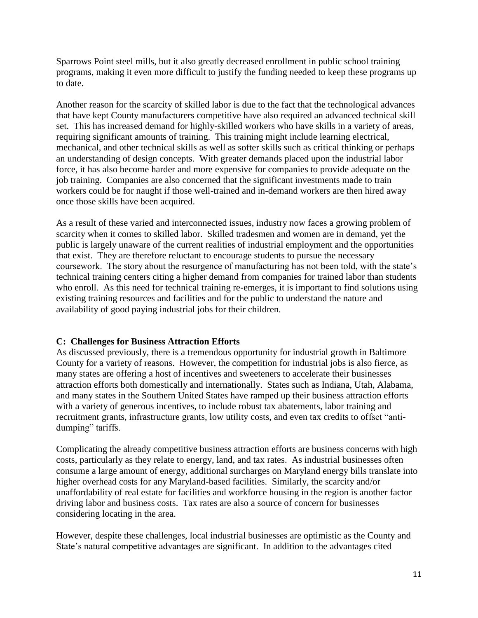Sparrows Point steel mills, but it also greatly decreased enrollment in public school training programs, making it even more difficult to justify the funding needed to keep these programs up to date.

Another reason for the scarcity of skilled labor is due to the fact that the technological advances that have kept County manufacturers competitive have also required an advanced technical skill set. This has increased demand for highly-skilled workers who have skills in a variety of areas, requiring significant amounts of training. This training might include learning electrical, mechanical, and other technical skills as well as softer skills such as critical thinking or perhaps an understanding of design concepts. With greater demands placed upon the industrial labor force, it has also become harder and more expensive for companies to provide adequate on the job training. Companies are also concerned that the significant investments made to train workers could be for naught if those well-trained and in-demand workers are then hired away once those skills have been acquired.

As a result of these varied and interconnected issues, industry now faces a growing problem of scarcity when it comes to skilled labor. Skilled tradesmen and women are in demand, yet the public is largely unaware of the current realities of industrial employment and the opportunities that exist. They are therefore reluctant to encourage students to pursue the necessary coursework. The story about the resurgence of manufacturing has not been told, with the state"s technical training centers citing a higher demand from companies for trained labor than students who enroll. As this need for technical training re-emerges, it is important to find solutions using existing training resources and facilities and for the public to understand the nature and availability of good paying industrial jobs for their children.

### **C: Challenges for Business Attraction Efforts**

As discussed previously, there is a tremendous opportunity for industrial growth in Baltimore County for a variety of reasons. However, the competition for industrial jobs is also fierce, as many states are offering a host of incentives and sweeteners to accelerate their businesses attraction efforts both domestically and internationally. States such as Indiana, Utah, Alabama, and many states in the Southern United States have ramped up their business attraction efforts with a variety of generous incentives, to include robust tax abatements, labor training and recruitment grants, infrastructure grants, low utility costs, and even tax credits to offset "antidumping" tariffs.

Complicating the already competitive business attraction efforts are business concerns with high costs, particularly as they relate to energy, land, and tax rates. As industrial businesses often consume a large amount of energy, additional surcharges on Maryland energy bills translate into higher overhead costs for any Maryland-based facilities. Similarly, the scarcity and/or unaffordability of real estate for facilities and workforce housing in the region is another factor driving labor and business costs. Tax rates are also a source of concern for businesses considering locating in the area.

However, despite these challenges, local industrial businesses are optimistic as the County and State"s natural competitive advantages are significant. In addition to the advantages cited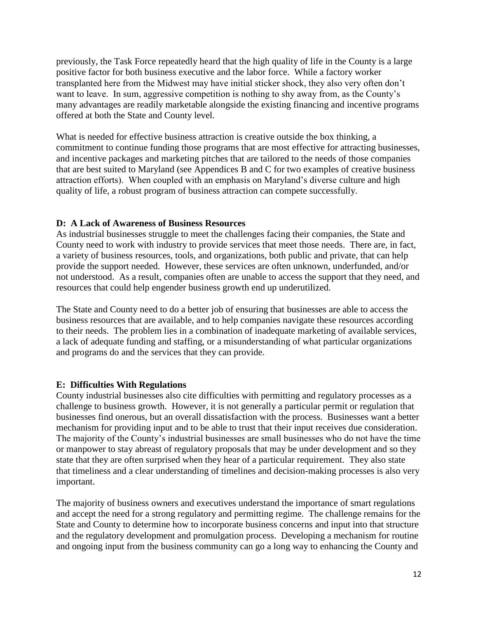previously, the Task Force repeatedly heard that the high quality of life in the County is a large positive factor for both business executive and the labor force. While a factory worker transplanted here from the Midwest may have initial sticker shock, they also very often don"t want to leave. In sum, aggressive competition is nothing to shy away from, as the County's many advantages are readily marketable alongside the existing financing and incentive programs offered at both the State and County level.

What is needed for effective business attraction is creative outside the box thinking, a commitment to continue funding those programs that are most effective for attracting businesses, and incentive packages and marketing pitches that are tailored to the needs of those companies that are best suited to Maryland (see Appendices B and C for two examples of creative business attraction efforts). When coupled with an emphasis on Maryland's diverse culture and high quality of life, a robust program of business attraction can compete successfully.

#### **D: A Lack of Awareness of Business Resources**

As industrial businesses struggle to meet the challenges facing their companies, the State and County need to work with industry to provide services that meet those needs. There are, in fact, a variety of business resources, tools, and organizations, both public and private, that can help provide the support needed. However, these services are often unknown, underfunded, and/or not understood. As a result, companies often are unable to access the support that they need, and resources that could help engender business growth end up underutilized.

The State and County need to do a better job of ensuring that businesses are able to access the business resources that are available, and to help companies navigate these resources according to their needs. The problem lies in a combination of inadequate marketing of available services, a lack of adequate funding and staffing, or a misunderstanding of what particular organizations and programs do and the services that they can provide.

### **E: Difficulties With Regulations**

County industrial businesses also cite difficulties with permitting and regulatory processes as a challenge to business growth. However, it is not generally a particular permit or regulation that businesses find onerous, but an overall dissatisfaction with the process. Businesses want a better mechanism for providing input and to be able to trust that their input receives due consideration. The majority of the County"s industrial businesses are small businesses who do not have the time or manpower to stay abreast of regulatory proposals that may be under development and so they state that they are often surprised when they hear of a particular requirement. They also state that timeliness and a clear understanding of timelines and decision-making processes is also very important.

The majority of business owners and executives understand the importance of smart regulations and accept the need for a strong regulatory and permitting regime. The challenge remains for the State and County to determine how to incorporate business concerns and input into that structure and the regulatory development and promulgation process. Developing a mechanism for routine and ongoing input from the business community can go a long way to enhancing the County and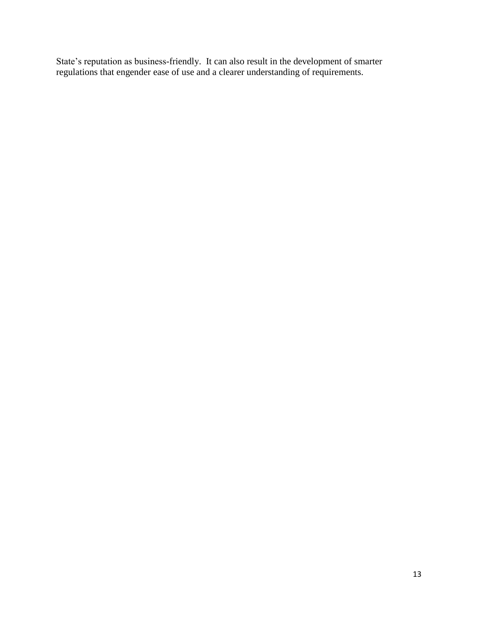State's reputation as business-friendly. It can also result in the development of smarter regulations that engender ease of use and a clearer understanding of requirements.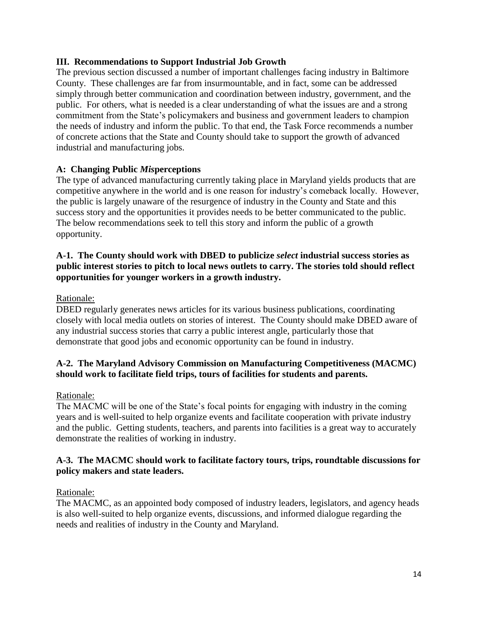#### **III. Recommendations to Support Industrial Job Growth**

The previous section discussed a number of important challenges facing industry in Baltimore County. These challenges are far from insurmountable, and in fact, some can be addressed simply through better communication and coordination between industry, government, and the public. For others, what is needed is a clear understanding of what the issues are and a strong commitment from the State"s policymakers and business and government leaders to champion the needs of industry and inform the public. To that end, the Task Force recommends a number of concrete actions that the State and County should take to support the growth of advanced industrial and manufacturing jobs.

### **A: Changing Public** *Mis***perceptions**

The type of advanced manufacturing currently taking place in Maryland yields products that are competitive anywhere in the world and is one reason for industry"s comeback locally. However, the public is largely unaware of the resurgence of industry in the County and State and this success story and the opportunities it provides needs to be better communicated to the public. The below recommendations seek to tell this story and inform the public of a growth opportunity.

#### **A-1. The County should work with DBED to publicize** *select* **industrial success stories as public interest stories to pitch to local news outlets to carry. The stories told should reflect opportunities for younger workers in a growth industry.**

#### Rationale:

DBED regularly generates news articles for its various business publications, coordinating closely with local media outlets on stories of interest. The County should make DBED aware of any industrial success stories that carry a public interest angle, particularly those that demonstrate that good jobs and economic opportunity can be found in industry.

#### **A-2. The Maryland Advisory Commission on Manufacturing Competitiveness (MACMC) should work to facilitate field trips, tours of facilities for students and parents.**

#### Rationale:

The MACMC will be one of the State's focal points for engaging with industry in the coming years and is well-suited to help organize events and facilitate cooperation with private industry and the public. Getting students, teachers, and parents into facilities is a great way to accurately demonstrate the realities of working in industry.

#### **A-3. The MACMC should work to facilitate factory tours, trips, roundtable discussions for policy makers and state leaders.**

#### Rationale:

The MACMC, as an appointed body composed of industry leaders, legislators, and agency heads is also well-suited to help organize events, discussions, and informed dialogue regarding the needs and realities of industry in the County and Maryland.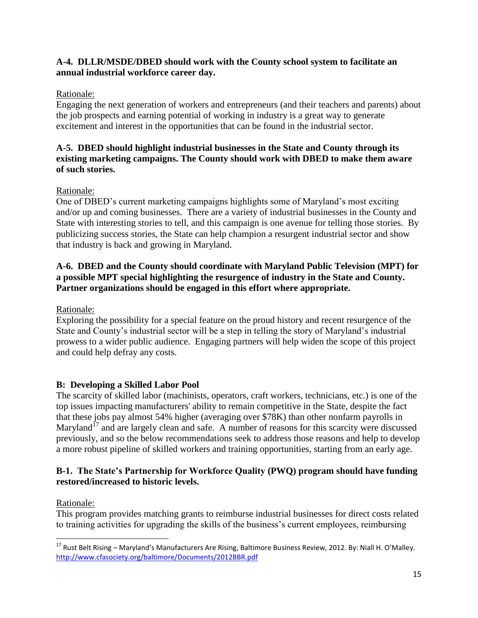### **A-4. DLLR/MSDE/DBED should work with the County school system to facilitate an annual industrial workforce career day.**

# Rationale:

Engaging the next generation of workers and entrepreneurs (and their teachers and parents) about the job prospects and earning potential of working in industry is a great way to generate excitement and interest in the opportunities that can be found in the industrial sector.

### **A-5. DBED should highlight industrial businesses in the State and County through its existing marketing campaigns. The County should work with DBED to make them aware of such stories.**

# Rationale:

One of DBED"s current marketing campaigns highlights some of Maryland"s most exciting and/or up and coming businesses. There are a variety of industrial businesses in the County and State with interesting stories to tell, and this campaign is one avenue for telling those stories. By publicizing success stories, the State can help champion a resurgent industrial sector and show that industry is back and growing in Maryland.

### **A-6. DBED and the County should coordinate with Maryland Public Television (MPT) for a possible MPT special highlighting the resurgence of industry in the State and County. Partner organizations should be engaged in this effort where appropriate.**

# Rationale:

Exploring the possibility for a special feature on the proud history and recent resurgence of the State and County's industrial sector will be a step in telling the story of Maryland's industrial prowess to a wider public audience. Engaging partners will help widen the scope of this project and could help defray any costs.

# **B: Developing a Skilled Labor Pool**

The scarcity of skilled labor (machinists, operators, craft workers, technicians, etc.) is one of the top issues impacting manufacturers' ability to remain competitive in the State, despite the fact that these jobs pay almost 54% higher (averaging over \$78K) than other nonfarm payrolls in Maryland<sup>17</sup> and are largely clean and safe. A number of reasons for this scarcity were discussed previously, and so the below recommendations seek to address those reasons and help to develop a more robust pipeline of skilled workers and training opportunities, starting from an early age.

### **B-1. The State's Partnership for Workforce Quality (PWQ) program should have funding restored/increased to historic levels.**

# Rationale:

This program provides matching grants to reimburse industrial businesses for direct costs related to training activities for upgrading the skills of the business"s current employees, reimbursing

l <sup>17</sup> Rust Belt Rising – Maryland's Manufacturers Are Rising, Baltimore Business Review, 2012. By: Niall H. O'Malley. <http://www.cfasociety.org/baltimore/Documents/2012BBR.pdf>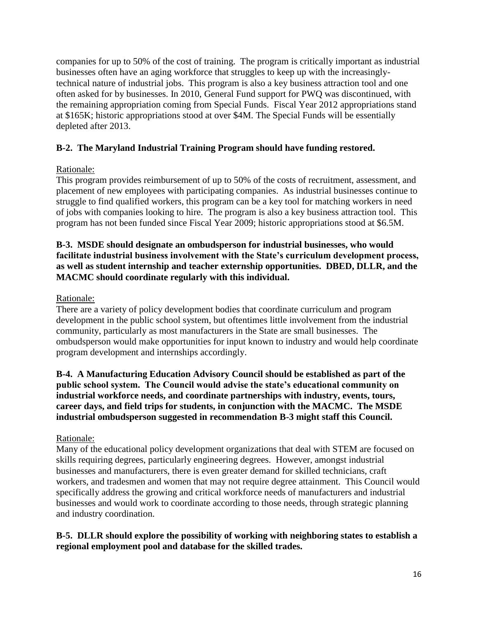companies for up to 50% of the cost of training. The program is critically important as industrial businesses often have an aging workforce that struggles to keep up with the increasinglytechnical nature of industrial jobs. This program is also a key business attraction tool and one often asked for by businesses. In 2010, General Fund support for PWQ was discontinued, with the remaining appropriation coming from Special Funds. Fiscal Year 2012 appropriations stand at \$165K; historic appropriations stood at over \$4M. The Special Funds will be essentially depleted after 2013.

# **B-2. The Maryland Industrial Training Program should have funding restored.**

### Rationale:

This program provides reimbursement of up to 50% of the costs of recruitment, assessment, and placement of new employees with participating companies. As industrial businesses continue to struggle to find qualified workers, this program can be a key tool for matching workers in need of jobs with companies looking to hire. The program is also a key business attraction tool. This program has not been funded since Fiscal Year 2009; historic appropriations stood at \$6.5M.

#### **B-3. MSDE should designate an ombudsperson for industrial businesses, who would facilitate industrial business involvement with the State's curriculum development process, as well as student internship and teacher externship opportunities. DBED, DLLR, and the MACMC should coordinate regularly with this individual.**

### Rationale:

There are a variety of policy development bodies that coordinate curriculum and program development in the public school system, but oftentimes little involvement from the industrial community, particularly as most manufacturers in the State are small businesses. The ombudsperson would make opportunities for input known to industry and would help coordinate program development and internships accordingly.

**B-4. A Manufacturing Education Advisory Council should be established as part of the public school system. The Council would advise the state's educational community on industrial workforce needs, and coordinate partnerships with industry, events, tours, career days, and field trips for students, in conjunction with the MACMC. The MSDE industrial ombudsperson suggested in recommendation B-3 might staff this Council.**

### Rationale:

Many of the educational policy development organizations that deal with STEM are focused on skills requiring degrees, particularly engineering degrees. However, amongst industrial businesses and manufacturers, there is even greater demand for skilled technicians, craft workers, and tradesmen and women that may not require degree attainment. This Council would specifically address the growing and critical workforce needs of manufacturers and industrial businesses and would work to coordinate according to those needs, through strategic planning and industry coordination.

### **B-5. DLLR should explore the possibility of working with neighboring states to establish a regional employment pool and database for the skilled trades.**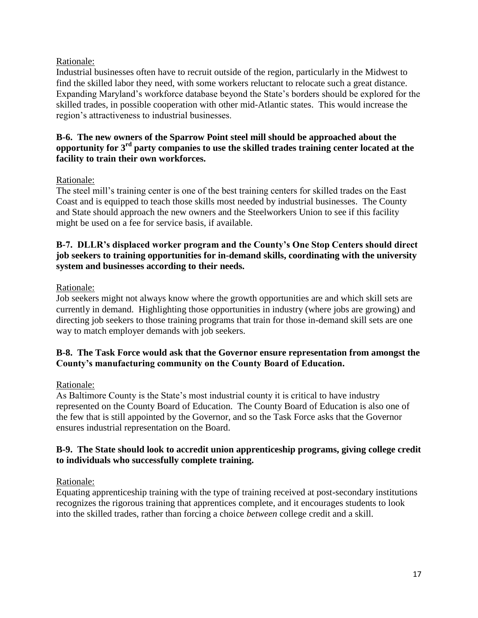### Rationale:

Industrial businesses often have to recruit outside of the region, particularly in the Midwest to find the skilled labor they need, with some workers reluctant to relocate such a great distance. Expanding Maryland"s workforce database beyond the State"s borders should be explored for the skilled trades, in possible cooperation with other mid-Atlantic states. This would increase the region"s attractiveness to industrial businesses.

#### **B-6. The new owners of the Sparrow Point steel mill should be approached about the opportunity for 3rd party companies to use the skilled trades training center located at the facility to train their own workforces.**

### Rationale:

The steel mill"s training center is one of the best training centers for skilled trades on the East Coast and is equipped to teach those skills most needed by industrial businesses. The County and State should approach the new owners and the Steelworkers Union to see if this facility might be used on a fee for service basis, if available.

#### **B-7. DLLR's displaced worker program and the County's One Stop Centers should direct job seekers to training opportunities for in-demand skills, coordinating with the university system and businesses according to their needs.**

### Rationale:

Job seekers might not always know where the growth opportunities are and which skill sets are currently in demand. Highlighting those opportunities in industry (where jobs are growing) and directing job seekers to those training programs that train for those in-demand skill sets are one way to match employer demands with job seekers.

### **B-8. The Task Force would ask that the Governor ensure representation from amongst the County's manufacturing community on the County Board of Education.**

### Rationale:

As Baltimore County is the State's most industrial county it is critical to have industry represented on the County Board of Education. The County Board of Education is also one of the few that is still appointed by the Governor, and so the Task Force asks that the Governor ensures industrial representation on the Board.

### **B-9. The State should look to accredit union apprenticeship programs, giving college credit to individuals who successfully complete training.**

### Rationale:

Equating apprenticeship training with the type of training received at post-secondary institutions recognizes the rigorous training that apprentices complete, and it encourages students to look into the skilled trades, rather than forcing a choice *between* college credit and a skill.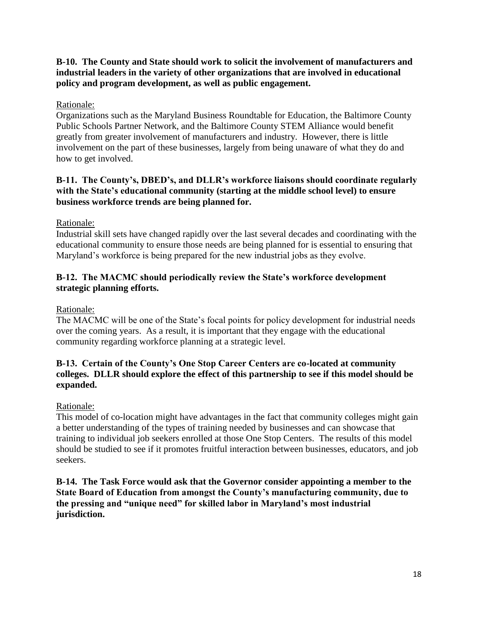### **B-10. The County and State should work to solicit the involvement of manufacturers and industrial leaders in the variety of other organizations that are involved in educational policy and program development, as well as public engagement.**

### Rationale:

Organizations such as the Maryland Business Roundtable for Education, the Baltimore County Public Schools Partner Network, and the Baltimore County STEM Alliance would benefit greatly from greater involvement of manufacturers and industry. However, there is little involvement on the part of these businesses, largely from being unaware of what they do and how to get involved.

### **B-11. The County's, DBED's, and DLLR's workforce liaisons should coordinate regularly with the State's educational community (starting at the middle school level) to ensure business workforce trends are being planned for.**

Rationale:

Industrial skill sets have changed rapidly over the last several decades and coordinating with the educational community to ensure those needs are being planned for is essential to ensuring that Maryland"s workforce is being prepared for the new industrial jobs as they evolve.

### **B-12. The MACMC should periodically review the State's workforce development strategic planning efforts.**

Rationale:

The MACMC will be one of the State's focal points for policy development for industrial needs over the coming years. As a result, it is important that they engage with the educational community regarding workforce planning at a strategic level.

### **B-13. Certain of the County's One Stop Career Centers are co-located at community colleges. DLLR should explore the effect of this partnership to see if this model should be expanded.**

### Rationale:

This model of co-location might have advantages in the fact that community colleges might gain a better understanding of the types of training needed by businesses and can showcase that training to individual job seekers enrolled at those One Stop Centers. The results of this model should be studied to see if it promotes fruitful interaction between businesses, educators, and job seekers.

**B-14. The Task Force would ask that the Governor consider appointing a member to the State Board of Education from amongst the County's manufacturing community, due to the pressing and "unique need" for skilled labor in Maryland's most industrial jurisdiction.**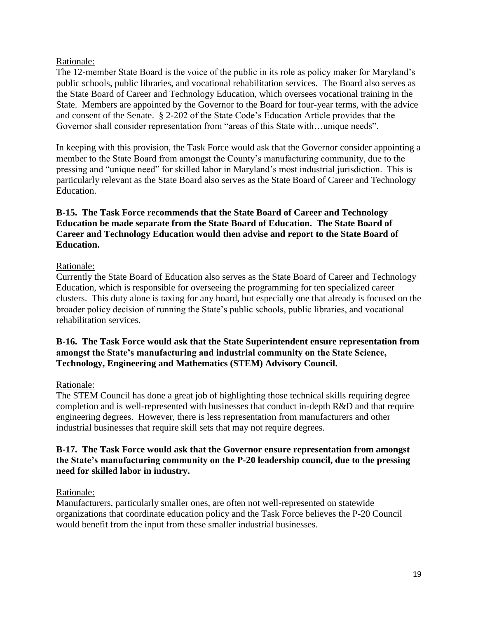#### Rationale:

The 12-member State Board is the voice of the public in its role as policy maker for Maryland"s public schools, public libraries, and vocational rehabilitation services. The Board also serves as the State Board of Career and Technology Education, which oversees vocational training in the State. Members are appointed by the Governor to the Board for four-year terms, with the advice and consent of the Senate. § 2-202 of the State Code"s Education Article provides that the Governor shall consider representation from "areas of this State with…unique needs".

In keeping with this provision, the Task Force would ask that the Governor consider appointing a member to the State Board from amongst the County"s manufacturing community, due to the pressing and "unique need" for skilled labor in Maryland"s most industrial jurisdiction. This is particularly relevant as the State Board also serves as the State Board of Career and Technology Education.

### **B-15. The Task Force recommends that the State Board of Career and Technology Education be made separate from the State Board of Education. The State Board of Career and Technology Education would then advise and report to the State Board of Education.**

#### Rationale:

Currently the State Board of Education also serves as the State Board of Career and Technology Education, which is responsible for overseeing the programming for ten specialized career clusters. This duty alone is taxing for any board, but especially one that already is focused on the broader policy decision of running the State's public schools, public libraries, and vocational rehabilitation services.

#### **B-16. The Task Force would ask that the State Superintendent ensure representation from amongst the State's manufacturing and industrial community on the State Science, Technology, Engineering and Mathematics (STEM) Advisory Council.**

### Rationale:

The STEM Council has done a great job of highlighting those technical skills requiring degree completion and is well-represented with businesses that conduct in-depth R&D and that require engineering degrees. However, there is less representation from manufacturers and other industrial businesses that require skill sets that may not require degrees.

#### **B-17. The Task Force would ask that the Governor ensure representation from amongst the State's manufacturing community on the P-20 leadership council, due to the pressing need for skilled labor in industry.**

#### Rationale:

Manufacturers, particularly smaller ones, are often not well-represented on statewide organizations that coordinate education policy and the Task Force believes the P-20 Council would benefit from the input from these smaller industrial businesses.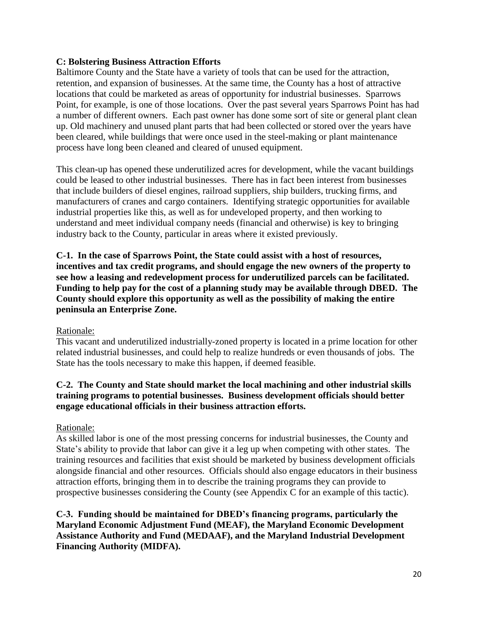#### **C: Bolstering Business Attraction Efforts**

Baltimore County and the State have a variety of tools that can be used for the attraction, retention, and expansion of businesses. At the same time, the County has a host of attractive locations that could be marketed as areas of opportunity for industrial businesses. Sparrows Point, for example, is one of those locations. Over the past several years Sparrows Point has had a number of different owners. Each past owner has done some sort of site or general plant clean up. Old machinery and unused plant parts that had been collected or stored over the years have been cleared, while buildings that were once used in the steel-making or plant maintenance process have long been cleaned and cleared of unused equipment.

This clean-up has opened these underutilized acres for development, while the vacant buildings could be leased to other industrial businesses. There has in fact been interest from businesses that include builders of diesel engines, railroad suppliers, ship builders, trucking firms, and manufacturers of cranes and cargo containers. Identifying strategic opportunities for available industrial properties like this, as well as for undeveloped property, and then working to understand and meet individual company needs (financial and otherwise) is key to bringing industry back to the County, particular in areas where it existed previously.

**C-1. In the case of Sparrows Point, the State could assist with a host of resources, incentives and tax credit programs, and should engage the new owners of the property to see how a leasing and redevelopment process for underutilized parcels can be facilitated. Funding to help pay for the cost of a planning study may be available through DBED. The County should explore this opportunity as well as the possibility of making the entire peninsula an Enterprise Zone.**

### Rationale:

This vacant and underutilized industrially-zoned property is located in a prime location for other related industrial businesses, and could help to realize hundreds or even thousands of jobs. The State has the tools necessary to make this happen, if deemed feasible.

### **C-2. The County and State should market the local machining and other industrial skills training programs to potential businesses. Business development officials should better engage educational officials in their business attraction efforts.**

### Rationale:

As skilled labor is one of the most pressing concerns for industrial businesses, the County and State's ability to provide that labor can give it a leg up when competing with other states. The training resources and facilities that exist should be marketed by business development officials alongside financial and other resources. Officials should also engage educators in their business attraction efforts, bringing them in to describe the training programs they can provide to prospective businesses considering the County (see Appendix C for an example of this tactic).

**C-3. Funding should be maintained for DBED's financing programs, particularly the Maryland Economic Adjustment Fund (MEAF), the Maryland Economic Development Assistance Authority and Fund (MEDAAF), and the Maryland Industrial Development Financing Authority (MIDFA).**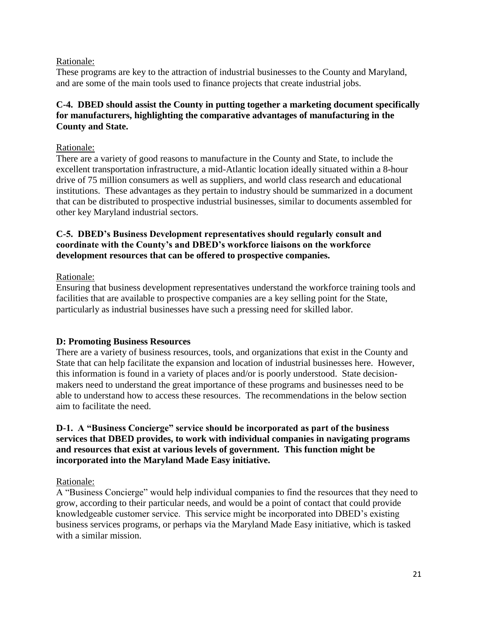#### Rationale:

These programs are key to the attraction of industrial businesses to the County and Maryland, and are some of the main tools used to finance projects that create industrial jobs.

### **C-4. DBED should assist the County in putting together a marketing document specifically for manufacturers, highlighting the comparative advantages of manufacturing in the County and State.**

#### Rationale:

There are a variety of good reasons to manufacture in the County and State, to include the excellent transportation infrastructure, a mid-Atlantic location ideally situated within a 8-hour drive of 75 million consumers as well as suppliers, and world class research and educational institutions. These advantages as they pertain to industry should be summarized in a document that can be distributed to prospective industrial businesses, similar to documents assembled for other key Maryland industrial sectors.

#### **C-5. DBED's Business Development representatives should regularly consult and coordinate with the County's and DBED's workforce liaisons on the workforce development resources that can be offered to prospective companies.**

#### Rationale:

Ensuring that business development representatives understand the workforce training tools and facilities that are available to prospective companies are a key selling point for the State, particularly as industrial businesses have such a pressing need for skilled labor.

### **D: Promoting Business Resources**

There are a variety of business resources, tools, and organizations that exist in the County and State that can help facilitate the expansion and location of industrial businesses here. However, this information is found in a variety of places and/or is poorly understood. State decisionmakers need to understand the great importance of these programs and businesses need to be able to understand how to access these resources. The recommendations in the below section aim to facilitate the need.

#### **D-1. A "Business Concierge" service should be incorporated as part of the business services that DBED provides, to work with individual companies in navigating programs and resources that exist at various levels of government. This function might be incorporated into the Maryland Made Easy initiative.**

#### Rationale:

A "Business Concierge" would help individual companies to find the resources that they need to grow, according to their particular needs, and would be a point of contact that could provide knowledgeable customer service. This service might be incorporated into DBED"s existing business services programs, or perhaps via the Maryland Made Easy initiative, which is tasked with a similar mission.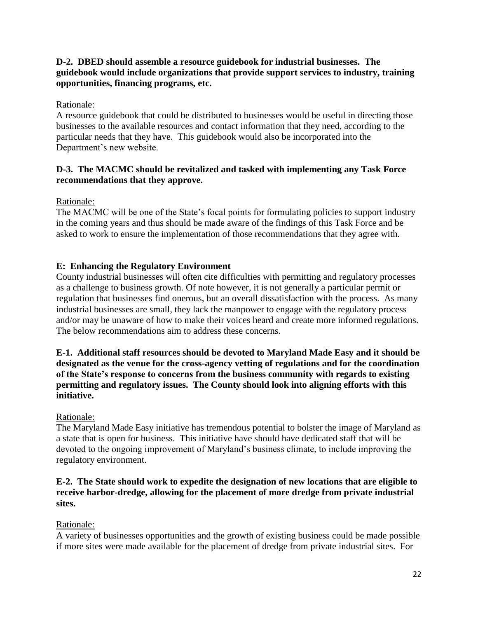### **D-2. DBED should assemble a resource guidebook for industrial businesses. The guidebook would include organizations that provide support services to industry, training opportunities, financing programs, etc.**

### Rationale:

A resource guidebook that could be distributed to businesses would be useful in directing those businesses to the available resources and contact information that they need, according to the particular needs that they have. This guidebook would also be incorporated into the Department's new website.

### **D-3. The MACMC should be revitalized and tasked with implementing any Task Force recommendations that they approve.**

Rationale:

The MACMC will be one of the State's focal points for formulating policies to support industry in the coming years and thus should be made aware of the findings of this Task Force and be asked to work to ensure the implementation of those recommendations that they agree with.

### **E: Enhancing the Regulatory Environment**

County industrial businesses will often cite difficulties with permitting and regulatory processes as a challenge to business growth. Of note however, it is not generally a particular permit or regulation that businesses find onerous, but an overall dissatisfaction with the process. As many industrial businesses are small, they lack the manpower to engage with the regulatory process and/or may be unaware of how to make their voices heard and create more informed regulations. The below recommendations aim to address these concerns.

**E-1. Additional staff resources should be devoted to Maryland Made Easy and it should be designated as the venue for the cross-agency vetting of regulations and for the coordination of the State's response to concerns from the business community with regards to existing permitting and regulatory issues. The County should look into aligning efforts with this initiative.**

### Rationale:

The Maryland Made Easy initiative has tremendous potential to bolster the image of Maryland as a state that is open for business. This initiative have should have dedicated staff that will be devoted to the ongoing improvement of Maryland"s business climate, to include improving the regulatory environment.

### **E-2. The State should work to expedite the designation of new locations that are eligible to receive harbor-dredge, allowing for the placement of more dredge from private industrial sites.**

### Rationale:

A variety of businesses opportunities and the growth of existing business could be made possible if more sites were made available for the placement of dredge from private industrial sites. For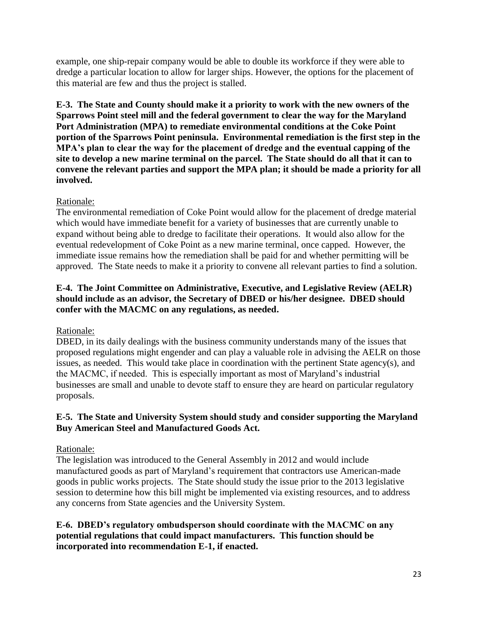example, one ship-repair company would be able to double its workforce if they were able to dredge a particular location to allow for larger ships. However, the options for the placement of this material are few and thus the project is stalled.

**E-3. The State and County should make it a priority to work with the new owners of the Sparrows Point steel mill and the federal government to clear the way for the Maryland Port Administration (MPA) to remediate environmental conditions at the Coke Point portion of the Sparrows Point peninsula. Environmental remediation is the first step in the MPA's plan to clear the way for the placement of dredge and the eventual capping of the site to develop a new marine terminal on the parcel. The State should do all that it can to convene the relevant parties and support the MPA plan; it should be made a priority for all involved.**

### Rationale:

The environmental remediation of Coke Point would allow for the placement of dredge material which would have immediate benefit for a variety of businesses that are currently unable to expand without being able to dredge to facilitate their operations. It would also allow for the eventual redevelopment of Coke Point as a new marine terminal, once capped. However, the immediate issue remains how the remediation shall be paid for and whether permitting will be approved. The State needs to make it a priority to convene all relevant parties to find a solution.

### **E-4. The Joint Committee on Administrative, Executive, and Legislative Review (AELR) should include as an advisor, the Secretary of DBED or his/her designee. DBED should confer with the MACMC on any regulations, as needed.**

### Rationale:

DBED, in its daily dealings with the business community understands many of the issues that proposed regulations might engender and can play a valuable role in advising the AELR on those issues, as needed. This would take place in coordination with the pertinent State agency(s), and the MACMC, if needed. This is especially important as most of Maryland"s industrial businesses are small and unable to devote staff to ensure they are heard on particular regulatory proposals.

### **E-5. The State and University System should study and consider supporting the Maryland Buy American Steel and Manufactured Goods Act.**

### Rationale:

The legislation was introduced to the General Assembly in 2012 and would include manufactured goods as part of Maryland"s requirement that contractors use American-made goods in public works projects. The State should study the issue prior to the 2013 legislative session to determine how this bill might be implemented via existing resources, and to address any concerns from State agencies and the University System.

**E-6. DBED's regulatory ombudsperson should coordinate with the MACMC on any potential regulations that could impact manufacturers. This function should be incorporated into recommendation E-1, if enacted.**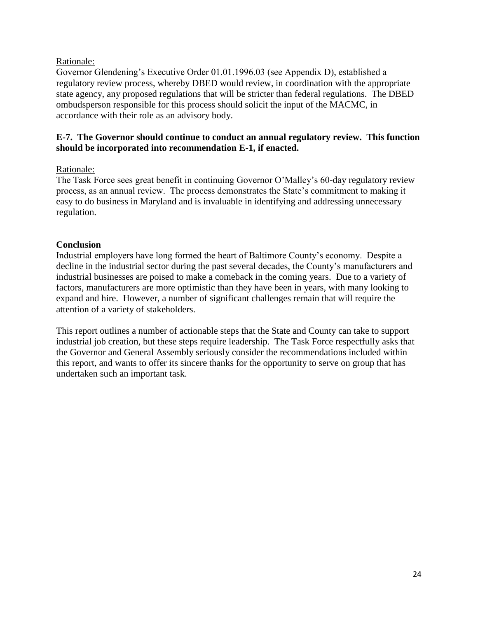#### Rationale:

Governor Glendening's Executive Order 01.01.1996.03 (see Appendix D), established a regulatory review process, whereby DBED would review, in coordination with the appropriate state agency, any proposed regulations that will be stricter than federal regulations. The DBED ombudsperson responsible for this process should solicit the input of the MACMC, in accordance with their role as an advisory body.

#### **E-7. The Governor should continue to conduct an annual regulatory review. This function should be incorporated into recommendation E-1, if enacted.**

#### Rationale:

The Task Force sees great benefit in continuing Governor O"Malley"s 60-day regulatory review process, as an annual review. The process demonstrates the State"s commitment to making it easy to do business in Maryland and is invaluable in identifying and addressing unnecessary regulation.

#### **Conclusion**

Industrial employers have long formed the heart of Baltimore County"s economy. Despite a decline in the industrial sector during the past several decades, the County"s manufacturers and industrial businesses are poised to make a comeback in the coming years. Due to a variety of factors, manufacturers are more optimistic than they have been in years, with many looking to expand and hire. However, a number of significant challenges remain that will require the attention of a variety of stakeholders.

This report outlines a number of actionable steps that the State and County can take to support industrial job creation, but these steps require leadership. The Task Force respectfully asks that the Governor and General Assembly seriously consider the recommendations included within this report, and wants to offer its sincere thanks for the opportunity to serve on group that has undertaken such an important task.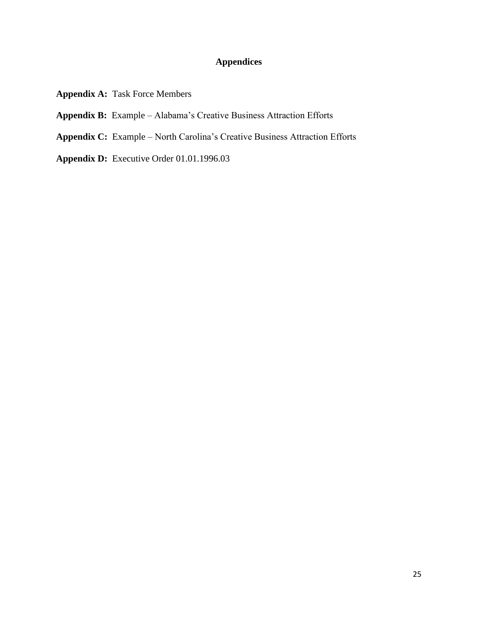# **Appendices**

- **Appendix A:** Task Force Members
- **Appendix B:** Example Alabama"s Creative Business Attraction Efforts
- **Appendix C:** Example North Carolina"s Creative Business Attraction Efforts
- **Appendix D:** Executive Order 01.01.1996.03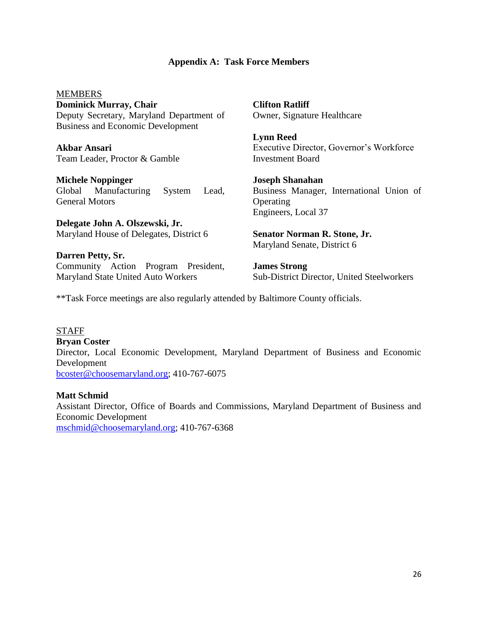#### **Appendix A: Task Force Members**

MEMBERS **Dominick Murray, Chair** Deputy Secretary, Maryland Department of Business and Economic Development

**Akbar Ansari** Team Leader, Proctor & Gamble

**Michele Noppinger** Global Manufacturing System Lead, General Motors

**Delegate John A. Olszewski, Jr.** Maryland House of Delegates, District 6

**Darren Petty, Sr.** Community Action Program President, Maryland State United Auto Workers

**Clifton Ratliff** Owner, Signature Healthcare

**Lynn Reed** Executive Director, Governor"s Workforce Investment Board

**Joseph Shanahan** Business Manager, International Union of **Operating** Engineers, Local 37

**Senator Norman R. Stone, Jr.** Maryland Senate, District 6

**James Strong** Sub-District Director, United Steelworkers

\*\*Task Force meetings are also regularly attended by Baltimore County officials.

# **STAFF**

**Bryan Coster** Director, Local Economic Development, Maryland Department of Business and Economic Development [bcoster@choosemaryland.org;](mailto:bcoster@choosemaryland.org) 410-767-6075

### **Matt Schmid**

Assistant Director, Office of Boards and Commissions, Maryland Department of Business and Economic Development [mschmid@choosemaryland.org;](mailto:mschmid@choosemaryland.org) 410-767-6368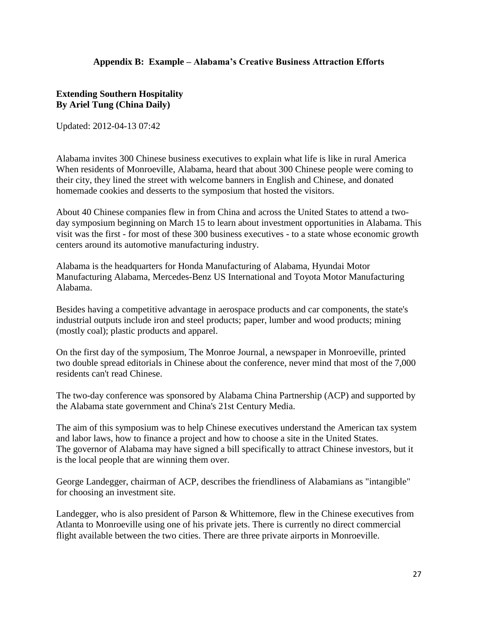#### **Appendix B: Example – Alabama's Creative Business Attraction Efforts**

#### **Extending Southern Hospitality By Ariel Tung (China Daily)**

Updated: 2012-04-13 07:42

Alabama invites 300 Chinese business executives to explain what life is like in rural America When residents of Monroeville, Alabama, heard that about 300 Chinese people were coming to their city, they lined the street with welcome banners in English and Chinese, and donated homemade cookies and desserts to the symposium that hosted the visitors.

About 40 Chinese companies flew in from China and across the United States to attend a twoday symposium beginning on March 15 to learn about investment opportunities in Alabama. This visit was the first - for most of these 300 business executives - to a state whose economic growth centers around its automotive manufacturing industry.

Alabama is the headquarters for Honda Manufacturing of Alabama, Hyundai Motor Manufacturing Alabama, Mercedes-Benz US International and Toyota Motor Manufacturing Alabama.

Besides having a competitive advantage in aerospace products and car components, the state's industrial outputs include iron and steel products; paper, lumber and wood products; mining (mostly coal); plastic products and apparel.

On the first day of the symposium, The Monroe Journal, a newspaper in Monroeville, printed two double spread editorials in Chinese about the conference, never mind that most of the 7,000 residents can't read Chinese.

The two-day conference was sponsored by Alabama China Partnership (ACP) and supported by the Alabama state government and China's 21st Century Media.

The aim of this symposium was to help Chinese executives understand the American tax system and labor laws, how to finance a project and how to choose a site in the United States. The governor of Alabama may have signed a bill specifically to attract Chinese investors, but it is the local people that are winning them over.

George Landegger, chairman of ACP, describes the friendliness of Alabamians as "intangible" for choosing an investment site.

Landegger, who is also president of Parson & Whittemore, flew in the Chinese executives from Atlanta to Monroeville using one of his private jets. There is currently no direct commercial flight available between the two cities. There are three private airports in Monroeville.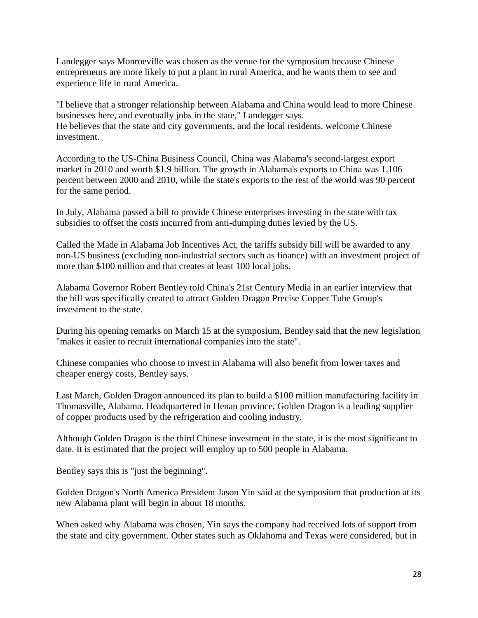Landegger says Monroeville was chosen as the venue for the symposium because Chinese entrepreneurs are more likely to put a plant in rural America, and he wants them to see and experience life in rural America.

"I believe that a stronger relationship between Alabama and China would lead to more Chinese businesses here, and eventually jobs in the state," Landegger says. He believes that the state and city governments, and the local residents, welcome Chinese investment.

According to the US-China Business Council, China was Alabama's second-largest export market in 2010 and worth \$1.9 billion. The growth in Alabama's exports to China was 1,106 percent between 2000 and 2010, while the state's exports to the rest of the world was 90 percent for the same period.

In July, Alabama passed a bill to provide Chinese enterprises investing in the state with tax subsidies to offset the costs incurred from anti-dumping duties levied by the US.

Called the Made in Alabama Job Incentives Act, the tariffs subsidy bill will be awarded to any non-US business (excluding non-industrial sectors such as finance) with an investment project of more than \$100 million and that creates at least 100 local jobs.

Alabama Governor Robert Bentley told China's 21st Century Media in an earlier interview that the bill was specifically created to attract Golden Dragon Precise Copper Tube Group's investment to the state.

During his opening remarks on March 15 at the symposium, Bentley said that the new legislation "makes it easier to recruit international companies into the state".

Chinese companies who choose to invest in Alabama will also benefit from lower taxes and cheaper energy costs, Bentley says.

Last March, Golden Dragon announced its plan to build a \$100 million manufacturing facility in Thomasville, Alabama. Headquartered in Henan province, Golden Dragon is a leading supplier of copper products used by the refrigeration and cooling industry.

Although Golden Dragon is the third Chinese investment in the state, it is the most significant to date. It is estimated that the project will employ up to 500 people in Alabama.

Bentley says this is "just the beginning".

Golden Dragon's North America President Jason Yin said at the symposium that production at its new Alabama plant will begin in about 18 months.

When asked why Alabama was chosen, Yin says the company had received lots of support from the state and city government. Other states such as Oklahoma and Texas were considered, but in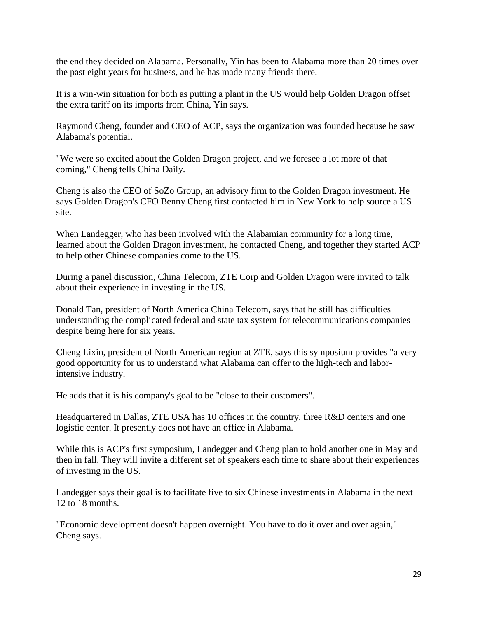the end they decided on Alabama. Personally, Yin has been to Alabama more than 20 times over the past eight years for business, and he has made many friends there.

It is a win-win situation for both as putting a plant in the US would help Golden Dragon offset the extra tariff on its imports from China, Yin says.

Raymond Cheng, founder and CEO of ACP, says the organization was founded because he saw Alabama's potential.

"We were so excited about the Golden Dragon project, and we foresee a lot more of that coming," Cheng tells China Daily.

Cheng is also the CEO of SoZo Group, an advisory firm to the Golden Dragon investment. He says Golden Dragon's CFO Benny Cheng first contacted him in New York to help source a US site.

When Landegger, who has been involved with the Alabamian community for a long time, learned about the Golden Dragon investment, he contacted Cheng, and together they started ACP to help other Chinese companies come to the US.

During a panel discussion, China Telecom, ZTE Corp and Golden Dragon were invited to talk about their experience in investing in the US.

Donald Tan, president of North America China Telecom, says that he still has difficulties understanding the complicated federal and state tax system for telecommunications companies despite being here for six years.

Cheng Lixin, president of North American region at ZTE, says this symposium provides "a very good opportunity for us to understand what Alabama can offer to the high-tech and laborintensive industry.

He adds that it is his company's goal to be "close to their customers".

Headquartered in Dallas, ZTE USA has 10 offices in the country, three R&D centers and one logistic center. It presently does not have an office in Alabama.

While this is ACP's first symposium, Landegger and Cheng plan to hold another one in May and then in fall. They will invite a different set of speakers each time to share about their experiences of investing in the US.

Landegger says their goal is to facilitate five to six Chinese investments in Alabama in the next 12 to 18 months.

"Economic development doesn't happen overnight. You have to do it over and over again," Cheng says.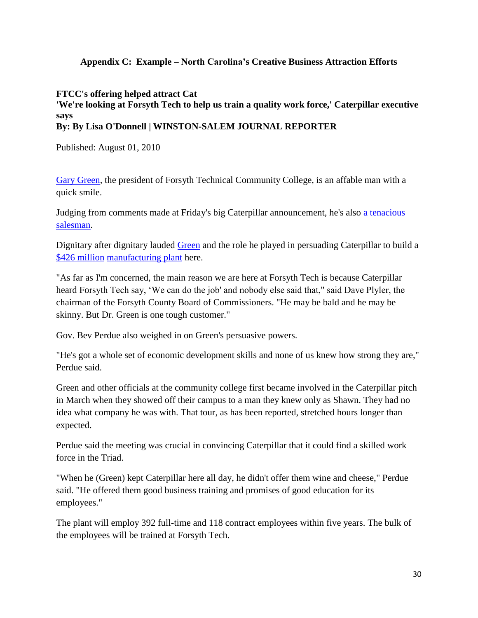### **Appendix C: Example – North Carolina's Creative Business Attraction Efforts**

#### **FTCC's offering helped attract Cat 'We're looking at Forsyth Tech to help us train a quality work force,' Caterpillar executive says By: By Lisa O'Donnell | WINSTON-SALEM JOURNAL REPORTER**

Published: August 01, 2010

[Gary Green,](http://www2.journalnow.com/topics/types/person/tags/gary-green/) the president of Forsyth Technical Community College, is an affable man with a quick smile.

Judging from comments made at Friday's big Caterpillar announcement, he's also [a tenacious](http://www2.journalnow.com/topics/types/position/tags/tenacious-salesman/)  [salesman.](http://www2.journalnow.com/topics/types/position/tags/tenacious-salesman/)

Dignitary after dignitary lauded [Green](http://www2.journalnow.com/topics/types/person/tags/gary-green/) and the role he played in persuading Caterpillar to build a [\\$426 million](http://www2.journalnow.com/topics/types/currency/tags/usd/) [manufacturing plant](http://www2.journalnow.com/topics/types/industryterm/tags/manufacturing-plant/) here.

"As far as I'm concerned, the main reason we are here at Forsyth Tech is because Caterpillar heard Forsyth Tech say, "We can do the job' and nobody else said that," said Dave Plyler, the chairman of the Forsyth County Board of Commissioners. "He may be bald and he may be skinny. But Dr. Green is one tough customer."

Gov. Bev Perdue also weighed in on Green's persuasive powers.

"He's got a whole set of economic development skills and none of us knew how strong they are," Perdue said.

Green and other officials at the community college first became involved in the Caterpillar pitch in March when they showed off their campus to a man they knew only as Shawn. They had no idea what company he was with. That tour, as has been reported, stretched hours longer than expected.

Perdue said the meeting was crucial in convincing Caterpillar that it could find a skilled work force in the Triad.

"When he (Green) kept Caterpillar here all day, he didn't offer them wine and cheese," Perdue said. "He offered them good business training and promises of good education for its employees."

The plant will employ 392 full-time and 118 contract employees within five years. The bulk of the employees will be trained at Forsyth Tech.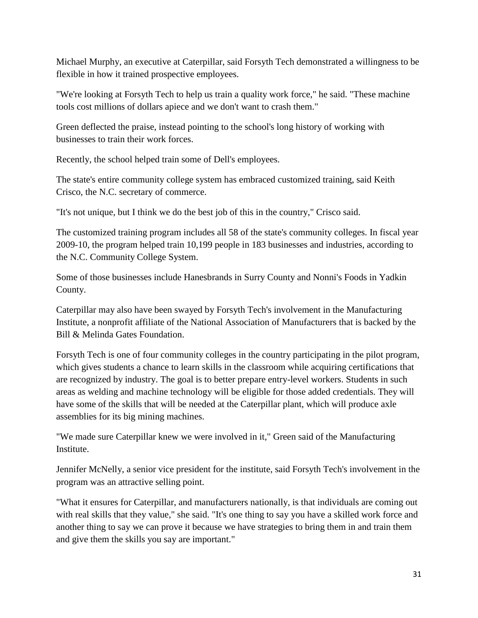Michael Murphy, an executive at Caterpillar, said Forsyth Tech demonstrated a willingness to be flexible in how it trained prospective employees.

"We're looking at Forsyth Tech to help us train a quality work force," he said. "These machine tools cost millions of dollars apiece and we don't want to crash them."

Green deflected the praise, instead pointing to the school's long history of working with businesses to train their work forces.

Recently, the school helped train some of Dell's employees.

The state's entire community college system has embraced customized training, said Keith Crisco, the N.C. secretary of commerce.

"It's not unique, but I think we do the best job of this in the country," Crisco said.

The customized training program includes all 58 of the state's community colleges. In fiscal year 2009-10, the program helped train 10,199 people in 183 businesses and industries, according to the N.C. Community College System.

Some of those businesses include Hanesbrands in Surry County and Nonni's Foods in Yadkin County.

Caterpillar may also have been swayed by Forsyth Tech's involvement in the Manufacturing Institute, a nonprofit affiliate of the National Association of Manufacturers that is backed by the Bill & Melinda Gates Foundation.

Forsyth Tech is one of four community colleges in the country participating in the pilot program, which gives students a chance to learn skills in the classroom while acquiring certifications that are recognized by industry. The goal is to better prepare entry-level workers. Students in such areas as welding and machine technology will be eligible for those added credentials. They will have some of the skills that will be needed at the Caterpillar plant, which will produce axle assemblies for its big mining machines.

"We made sure Caterpillar knew we were involved in it," Green said of the Manufacturing Institute.

Jennifer McNelly, a senior vice president for the institute, said Forsyth Tech's involvement in the program was an attractive selling point.

"What it ensures for Caterpillar, and manufacturers nationally, is that individuals are coming out with real skills that they value," she said. "It's one thing to say you have a skilled work force and another thing to say we can prove it because we have strategies to bring them in and train them and give them the skills you say are important."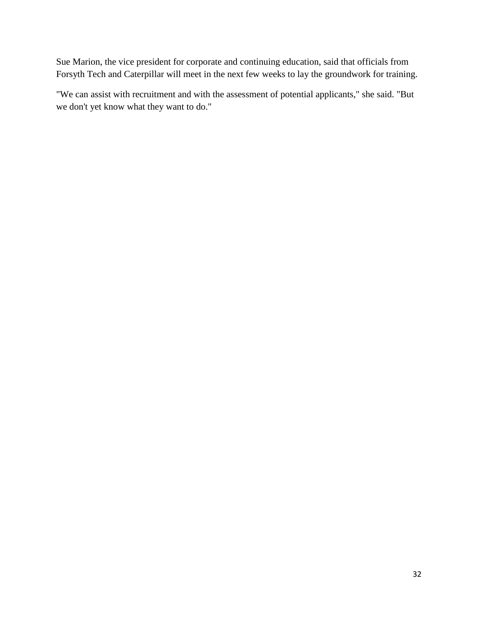Sue Marion, the vice president for corporate and continuing education, said that officials from Forsyth Tech and Caterpillar will meet in the next few weeks to lay the groundwork for training.

"We can assist with recruitment and with the assessment of potential applicants," she said. "But we don't yet know what they want to do."